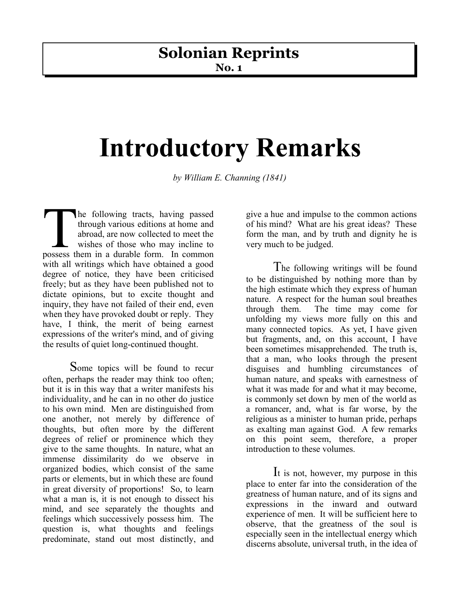## **Solonian Reprints**

**No. 1**

## **Introductory Remarks**

*by William E. Channing (1841)*

he following tracts, having passed through various editions at home and abroad, are now collected to meet the wishes of those who may incline to The following tracts, having passed<br>through various editions at home and<br>abroad, are now collected to meet the<br>wishes of those who may incline to<br>possess them in a durable form. In common with all writings which have obtained a good degree of notice, they have been criticised freely; but as they have been published not to dictate opinions, but to excite thought and inquiry, they have not failed of their end, even when they have provoked doubt or reply. They have, I think, the merit of being earnest expressions of the writer's mind, and of giving the results of quiet long-continued thought.

Some topics will be found to recur often, perhaps the reader may think too often; but it is in this way that a writer manifests his individuality, and he can in no other do justice to his own mind. Men are distinguished from one another, not merely by difference of thoughts, but often more by the different degrees of relief or prominence which they give to the same thoughts. In nature, what an immense dissimilarity do we observe in organized bodies, which consist of the same parts or elements, but in which these are found in great diversity of proportions! So, to learn what a man is, it is not enough to dissect his mind, and see separately the thoughts and feelings which successively possess him. The question is, what thoughts and feelings predominate, stand out most distinctly, and

give a hue and impulse to the common actions of his mind? What are his great ideas? These form the man, and by truth and dignity he is very much to be judged.

The following writings will be found to be distinguished by nothing more than by the high estimate which they express of human nature. A respect for the human soul breathes through them. The time may come for unfolding my views more fully on this and many connected topics. As yet, I have given but fragments, and, on this account, I have been sometimes misapprehended. The truth is, that a man, who looks through the present disguises and humbling circumstances of human nature, and speaks with earnestness of what it was made for and what it may become, is commonly set down by men of the world as a romancer, and, what is far worse, by the religious as a minister to human pride, perhaps as exalting man against God. A few remarks on this point seem, therefore, a proper introduction to these volumes.

I<sup>t</sup> is not, however, my purpose in this place to enter far into the consideration of the greatness of human nature, and of its signs and expressions in the inward and outward experience of men. It will be sufficient here to observe, that the greatness of the soul is especially seen in the intellectual energy which discerns absolute, universal truth, in the idea of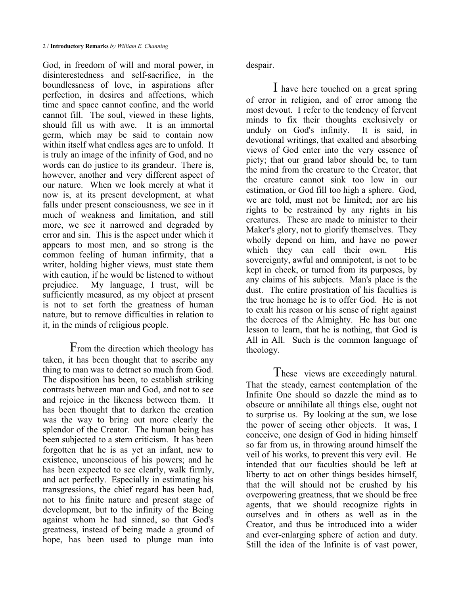God, in freedom of will and moral power, in disinterestedness and self-sacrifice, in the boundlessness of love, in aspirations after perfection, in desires and affections, which time and space cannot confine, and the world cannot fill. The soul, viewed in these lights, should fill us with awe. It is an immortal germ, which may be said to contain now within itself what endless ages are to unfold. It is truly an image of the infinity of God, and no words can do justice to its grandeur. There is, however, another and very different aspect of our nature. When we look merely at what it now is, at its present development, at what falls under present consciousness, we see in it much of weakness and limitation, and still more, we see it narrowed and degraded by error and sin. This is the aspect under which it appears to most men, and so strong is the common feeling of human infirmity, that a writer, holding higher views, must state them with caution, if he would be listened to without prejudice. My language, I trust, will be sufficiently measured, as my object at present is not to set forth the greatness of human nature, but to remove difficulties in relation to it, in the minds of religious people.

From the direction which theology has taken, it has been thought that to ascribe any thing to man was to detract so much from God. The disposition has been, to establish striking contrasts between man and God, and not to see and rejoice in the likeness between them. It has been thought that to darken the creation was the way to bring out more clearly the splendor of the Creator. The human being has been subjected to a stern criticism. It has been forgotten that he is as yet an infant, new to existence, unconscious of his powers; and he has been expected to see clearly, walk firmly, and act perfectly. Especially in estimating his transgressions, the chief regard has been had, not to his finite nature and present stage of development, but to the infinity of the Being against whom he had sinned, so that God's greatness, instead of being made a ground of hope, has been used to plunge man into

despair.

I have here touched on a great spring of error in religion, and of error among the most devout. I refer to the tendency of fervent minds to fix their thoughts exclusively or unduly on God's infinity. It is said, in devotional writings, that exalted and absorbing views of God enter into the very essence of piety; that our grand labor should be, to turn the mind from the creature to the Creator, that the creature cannot sink too low in our estimation, or God fill too high a sphere. God, we are told, must not be limited; nor are his rights to be restrained by any rights in his creatures. These are made to minister to their Maker's glory, not to glorify themselves. They wholly depend on him, and have no power which they can call their own. His sovereignty, awful and omnipotent, is not to be kept in check, or turned from its purposes, by any claims of his subjects. Man's place is the dust. The entire prostration of his faculties is the true homage he is to offer God. He is not to exalt his reason or his sense of right against the decrees of the Almighty. He has but one lesson to learn, that he is nothing, that God is All in All. Such is the common language of theology.

These views are exceedingly natural. That the steady, earnest contemplation of the Infinite One should so dazzle the mind as to obscure or annihilate all things else, ought not to surprise us. By looking at the sun, we lose the power of seeing other objects. It was, I conceive, one design of God in hiding himself so far from us, in throwing around himself the veil of his works, to prevent this very evil. He intended that our faculties should be left at liberty to act on other things besides himself, that the will should not be crushed by his overpowering greatness, that we should be free agents, that we should recognize rights in ourselves and in others as well as in the Creator, and thus be introduced into a wider and ever-enlarging sphere of action and duty. Still the idea of the Infinite is of vast power,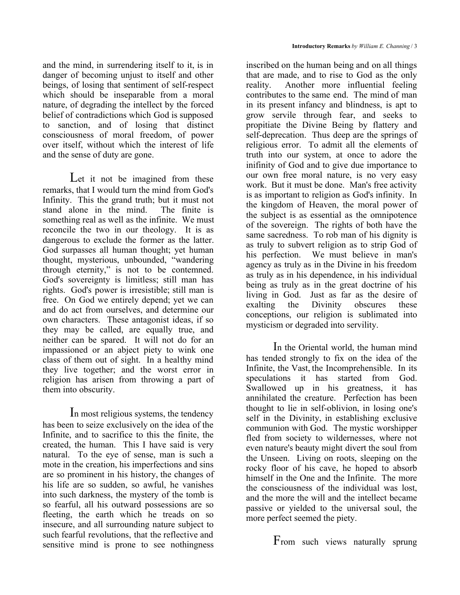and the mind, in surrendering itself to it, is in danger of becoming unjust to itself and other beings, of losing that sentiment of self-respect which should be inseparable from a moral nature, of degrading the intellect by the forced belief of contradictions which God is supposed to sanction, and of losing that distinct consciousness of moral freedom, of power over itself, without which the interest of life and the sense of duty are gone.

Let it not be imagined from these remarks, that I would turn the mind from God's Infinity. This the grand truth; but it must not stand alone in the mind. The finite is something real as well as the infinite. We must reconcile the two in our theology. It is as dangerous to exclude the former as the latter. God surpasses all human thought; yet human thought, mysterious, unbounded, "wandering through eternity," is not to be contemned. God's sovereignty is limitless; still man has rights. God's power is irresistible; still man is free. On God we entirely depend; yet we can and do act from ourselves, and determine our own characters. These antagonist ideas, if so they may be called, are equally true, and neither can be spared. It will not do for an impassioned or an abject piety to wink one class of them out of sight. In a healthy mind they live together; and the worst error in religion has arisen from throwing a part of them into obscurity.

In most religious systems, the tendency has been to seize exclusively on the idea of the Infinite, and to sacrifice to this the finite, the created, the human. This I have said is very natural. To the eye of sense, man is such a mote in the creation, his imperfections and sins are so prominent in his history, the changes of his life are so sudden, so awful, he vanishes into such darkness, the mystery of the tomb is so fearful, all his outward possessions are so fleeting, the earth which he treads on so insecure, and all surrounding nature subject to such fearful revolutions, that the reflective and sensitive mind is prone to see nothingness

inscribed on the human being and on all things that are made, and to rise to God as the only reality. Another more influential feeling contributes to the same end. The mind of man in its present infancy and blindness, is apt to grow servile through fear, and seeks to propitiate the Divine Being by flattery and self-deprecation. Thus deep are the springs of religious error. To admit all the elements of truth into our system, at once to adore the inifinity of God and to give due importance to our own free moral nature, is no very easy work. But it must be done. Man's free activity is as important to religion as God's infinity. In the kingdom of Heaven, the moral power of the subject is as essential as the omnipotence of the sovereign. The rights of both have the same sacredness. To rob man of his dignity is as truly to subvert religion as to strip God of his perfection. We must believe in man's agency as truly as in the Divine in his freedom as truly as in his dependence, in his individual being as truly as in the great doctrine of his living in God. Just as far as the desire of exalting the Divinity obscures these conceptions, our religion is sublimated into mysticism or degraded into servility.

In the Oriental world, the human mind has tended strongly to fix on the idea of the Infinite, the Vast, the Incomprehensible. In its speculations it has started from God. Swallowed up in his greatness, it has annihilated the creature. Perfection has been thought to lie in self-oblivion, in losing one's self in the Divinity, in establishing exclusive communion with God. The mystic worshipper fled from society to wildernesses, where not even nature's beauty might divert the soul from the Unseen. Living on roots, sleeping on the rocky floor of his cave, he hoped to absorb himself in the One and the Infinite. The more the consciousness of the individual was lost, and the more the will and the intellect became passive or yielded to the universal soul, the more perfect seemed the piety.

From such views naturally sprung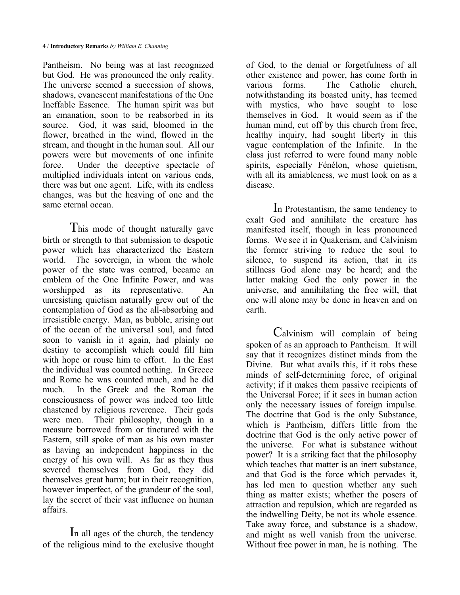Pantheism. No being was at last recognized but God. He was pronounced the only reality. The universe seemed a succession of shows, shadows, evanescent manifestations of the One Ineffable Essence. The human spirit was but an emanation, soon to be reabsorbed in its source. God, it was said, bloomed in the flower, breathed in the wind, flowed in the stream, and thought in the human soul. All our powers were but movements of one infinite force. Under the deceptive spectacle of multiplied individuals intent on various ends, there was but one agent. Life, with its endless changes, was but the heaving of one and the same eternal ocean.

This mode of thought naturally gave birth or strength to that submission to despotic power which has characterized the Eastern world. The sovereign, in whom the whole power of the state was centred, became an emblem of the One Infinite Power, and was worshipped as its representative. An unresisting quietism naturally grew out of the contemplation of God as the all-absorbing and irresistible energy. Man, as bubble, arising out of the ocean of the universal soul, and fated soon to vanish in it again, had plainly no destiny to accomplish which could fill him with hope or rouse him to effort. In the East the individual was counted nothing. In Greece and Rome he was counted much, and he did much. In the Greek and the Roman the consciousness of power was indeed too little chastened by religious reverence. Their gods were men. Their philosophy, though in a measure borrowed from or tinctured with the Eastern, still spoke of man as his own master as having an independent happiness in the energy of his own will. As far as they thus severed themselves from God, they did themselves great harm; but in their recognition, however imperfect, of the grandeur of the soul, lay the secret of their vast influence on human affairs.

In all ages of the church, the tendency of the religious mind to the exclusive thought of God, to the denial or forgetfulness of all other existence and power, has come forth in various forms. The Catholic church, notwithstanding its boasted unity, has teemed with mystics, who have sought to lose themselves in God. It would seem as if the human mind, cut off by this church from free, healthy inquiry, had sought liberty in this vague contemplation of the Infinite. In the class just referred to were found many noble spirits, especially Fénélon, whose quietism, with all its amiableness, we must look on as a disease.

In Protestantism, the same tendency to exalt God and annihilate the creature has manifested itself, though in less pronounced forms. We see it in Quakerism, and Calvinism the former striving to reduce the soul to silence, to suspend its action, that in its stillness God alone may be heard; and the latter making God the only power in the universe, and annihilating the free will, that one will alone may be done in heaven and on earth.

Calvinism will complain of being spoken of as an approach to Pantheism. It will say that it recognizes distinct minds from the Divine. But what avails this, if it robs these minds of self-determining force, of original activity; if it makes them passive recipients of the Universal Force; if it sees in human action only the necessary issues of foreign impulse. The doctrine that God is the only Substance, which is Pantheism, differs little from the doctrine that God is the only active power of the universe. For what is substance without power? It is a striking fact that the philosophy which teaches that matter is an inert substance, and that God is the force which pervades it, has led men to question whether any such thing as matter exists; whether the posers of attraction and repulsion, which are regarded as the indwelling Deity, be not its whole essence. Take away force, and substance is a shadow, and might as well vanish from the universe. Without free power in man, he is nothing. The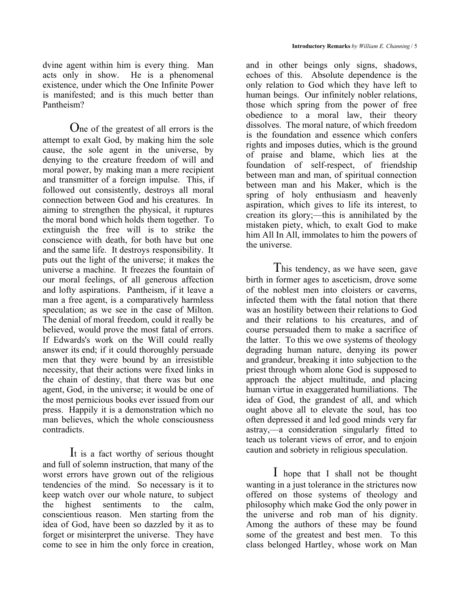dvine agent within him is every thing. Man acts only in show. He is a phenomenal existence, under which the One Infinite Power is manifested; and is this much better than Pantheism?

One of the greatest of all errors is the attempt to exalt God, by making him the sole cause, the sole agent in the universe, by denying to the creature freedom of will and moral power, by making man a mere recipient and transmitter of a foreign impulse. This, if followed out consistently, destroys all moral connection between God and his creatures. In aiming to strengthen the physical, it ruptures the moral bond which holds them together. To extinguish the free will is to strike the conscience with death, for both have but one and the same life. It destroys responsibility. It puts out the light of the universe; it makes the universe a machine. It freezes the fountain of our moral feelings, of all generous affection and lofty aspirations. Pantheism, if it leave a man a free agent, is a comparatively harmless speculation; as we see in the case of Milton. The denial of moral freedom, could it really be believed, would prove the most fatal of errors. If Edwards's work on the Will could really answer its end; if it could thoroughly persuade men that they were bound by an irresistible necessity, that their actions were fixed links in the chain of destiny, that there was but one agent, God, in the universe; it would be one of the most pernicious books ever issued from our press. Happily it is a demonstration which no man believes, which the whole consciousness contradicts.

I<sup>t</sup> is <sup>a</sup> fact worthy of serious thought and full of solemn instruction, that many of the worst errors have grown out of the religious tendencies of the mind. So necessary is it to keep watch over our whole nature, to subject the highest sentiments to the calm, conscientious reason. Men starting from the idea of God, have been so dazzled by it as to forget or misinterpret the universe. They have come to see in him the only force in creation,

and in other beings only signs, shadows, echoes of this. Absolute dependence is the only relation to God which they have left to human beings. Our infinitely nobler relations, those which spring from the power of free obedience to a moral law, their theory dissolves. The moral nature, of which freedom is the foundation and essence which confers rights and imposes duties, which is the ground of praise and blame, which lies at the foundation of self-respect, of friendship between man and man, of spiritual connection between man and his Maker, which is the spring of holy enthusiasm and heavenly aspiration, which gives to life its interest, to creation its glory;—this is annihilated by the mistaken piety, which, to exalt God to make him All In All, immolates to him the powers of the universe.

This tendency, as we have seen, gave birth in former ages to asceticism, drove some of the noblest men into cloisters or caverns, infected them with the fatal notion that there was an hostility between their relations to God and their relations to his creatures, and of course persuaded them to make a sacrifice of the latter. To this we owe systems of theology degrading human nature, denying its power and grandeur, breaking it into subjection to the priest through whom alone God is supposed to approach the abject multitude, and placing human virtue in exaggerated humiliations. The idea of God, the grandest of all, and which ought above all to elevate the soul, has too often depressed it and led good minds very far astray,—a consideration singularly fitted to teach us tolerant views of error, and to enjoin caution and sobriety in religious speculation.

I hope that <sup>I</sup> shall not be thought wanting in a just tolerance in the strictures now offered on those systems of theology and philosophy which make God the only power in the universe and rob man of his dignity. Among the authors of these may be found some of the greatest and best men. To this class belonged Hartley, whose work on Man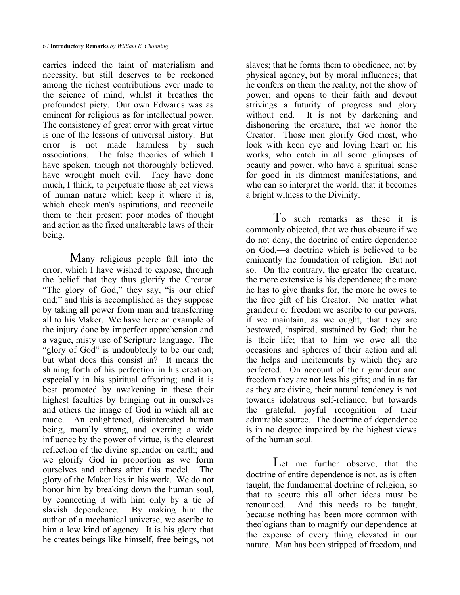carries indeed the taint of materialism and necessity, but still deserves to be reckoned among the richest contributions ever made to the science of mind, whilst it breathes the profoundest piety. Our own Edwards was as eminent for religious as for intellectual power. The consistency of great error with great virtue is one of the lessons of universal history. But error is not made harmless by such associations. The false theories of which I have spoken, though not thoroughly believed, have wrought much evil. They have done much, I think, to perpetuate those abject views of human nature which keep it where it is, which check men's aspirations, and reconcile them to their present poor modes of thought and action as the fixed unalterable laws of their being.

Many religious people fall into the error, which I have wished to expose, through the belief that they thus glorify the Creator. "The glory of God," they say, "is our chief end;" and this is accomplished as they suppose by taking all power from man and transferring all to his Maker. We have here an example of the injury done by imperfect apprehension and a vague, misty use of Scripture language. The "glory of God" is undoubtedly to be our end; but what does this consist in? It means the shining forth of his perfection in his creation, especially in his spiritual offspring; and it is best promoted by awakening in these their highest faculties by bringing out in ourselves and others the image of God in which all are made. An enlightened, disinterested human being, morally strong, and exerting a wide influence by the power of virtue, is the clearest reflection of the divine splendor on earth; and we glorify God in proportion as we form ourselves and others after this model. The glory of the Maker lies in his work. We do not honor him by breaking down the human soul, by connecting it with him only by a tie of slavish dependence. By making him the author of a mechanical universe, we ascribe to him a low kind of agency. It is his glory that he creates beings like himself, free beings, not

slaves; that he forms them to obedience, not by physical agency, but by moral influences; that he confers on them the reality, not the show of power; and opens to their faith and devout strivings a futurity of progress and glory without end. It is not by darkening and dishonoring the creature, that we honor the Creator. Those men glorify God most, who look with keen eye and loving heart on his works, who catch in all some glimpses of beauty and power, who have a spiritual sense for good in its dimmest manifestations, and who can so interpret the world, that it becomes a bright witness to the Divinity.

T<sup>o</sup> such remarks as these it is commonly objected, that we thus obscure if we do not deny, the doctrine of entire dependence on God,—a doctrine which is believed to be eminently the foundation of religion. But not so. On the contrary, the greater the creature, the more extensive is his dependence; the more he has to give thanks for, the more he owes to the free gift of his Creator. No matter what grandeur or freedom we ascribe to our powers, if we maintain, as we ought, that they are bestowed, inspired, sustained by God; that he is their life; that to him we owe all the occasions and spheres of their action and all the helps and incitements by which they are perfected. On account of their grandeur and freedom they are not less his gifts; and in as far as they are divine, their natural tendency is not towards idolatrous self-reliance, but towards the grateful, joyful recognition of their admirable source. The doctrine of dependence is in no degree impaired by the highest views of the human soul.

Let me further observe, that the doctrine of entire dependence is not, as is often taught, the fundamental doctrine of religion, so that to secure this all other ideas must be renounced. And this needs to be taught, because nothing has been more common with theologians than to magnify our dependence at the expense of every thing elevated in our nature. Man has been stripped of freedom, and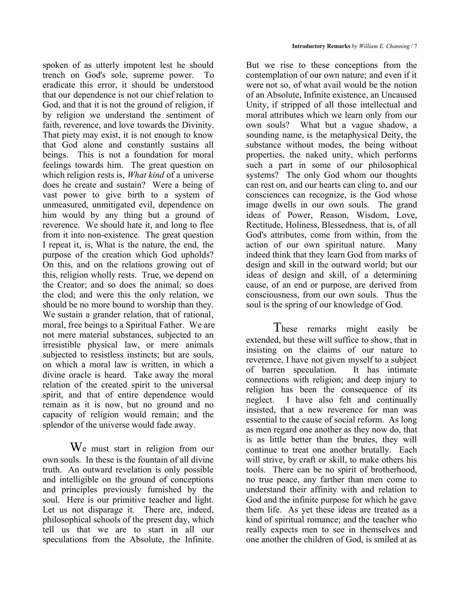spoken of as utterly impotent lest he should trench on God's sole, supreme power. To eradicate this error, it should be understood that our dependence is not our chief relation to God, and that it is not the ground of religion, if by religion we understand the sentiment of faith, reverence, and love towards the Divinity. That piety may exist, it is not enough to know that God alone and constantly sustains all beings. This is not a foundation for moral feelings towards him. The great question on which religion rests is, *What kind* of a universe does he create and sustain? Were a being of vast power to give birth to a system of unmeasured, unmitigated evil, dependence on him would by any thing but a ground of reverence. We should hate it, and long to flee from it into non-existence. The great question I repeat it, is, What is the nature, the end, the purpose of the creation which God upholds? On this, and on the relations growing out of this, religion wholly rests. True, we depend on the Creator; and so does the animal; so does the clod; and were this the only relation, we should be no more bound to worship than they. We sustain a grander relation, that of rational, moral, free beings to a Spiritual Father. We are not mere material substances, subjected to an irresistible physical law, or mere animals subjected to resistless instincts; but are souls, on which a moral law is written, in which a divine oracle is heard. Take away the moral relation of the created spirit to the universal spirit, and that of entire dependence would remain as it is now, but no ground and no capacity of religion would remain; and the splendor of the universe would fade away.

W<sup>e</sup> must start in religion from our own souls. In these is the fountain of all divine truth. An outward revelation is only possible and intelligible on the ground of conceptions and principles previously furnished by the soul. Here is our primitive teacher and light. Let us not disparage it. There are, indeed, philosophical schools of the present day, which tell us that we are to start in all our speculations from the Absolute, the Infinite.

But we rise to these conceptions from the contemplation of our own nature; and even if it were not so, of what avail would be the notion of an Absolute, Infinite existence, an Uncaused Unity, if stripped of all those intellectual and moral attributes which we learn only from our own souls? What but a vague shadow, a sounding name, is the metaphysical Deity, the substance without modes, the being without properties, the naked unity, which performs such a part in some of our philosophical systems? The only God whom our thoughts can rest on, and our hearts can cling to, and our consciences can recognize, is the God whose image dwells in our own souls. The grand ideas of Power, Reason, Wisdom, Love, Rectitude, Holiness, Blessedness, that is, of all God's attributes, come from within, from the action of our own spiritual nature. Many indeed think that they learn God from marks of design and skill in the outward world; but our ideas of design and skill, of a determining cause, of an end or purpose, are derived from consciousness, from our own souls. Thus the soul is the spring of our knowledge of God.

These remarks might easily be extended, but these will suffice to show, that in insisting on the claims of our nature to reverence, I have not given myself to a subject of barren speculation. It has intimate connections with religion; and deep injury to religion has been the consequence of its neglect. I have also felt and continually insisted, that a new reverence for man was essential to the cause of social reform. As long as men regard one another as they now do, that is as little better than the brutes, they will continue to treat one another brutally. Each will strive, by craft or skill, to make others his tools. There can be no spirit of brotherhood, no true peace, any farther than men come to understand their affinity with and relation to God and the infinite purpose for which he gave them life. As yet these ideas are treated as a kind of spiritual romance; and the teacher who really expects men to see in themselves and one another the children of God, is smiled at as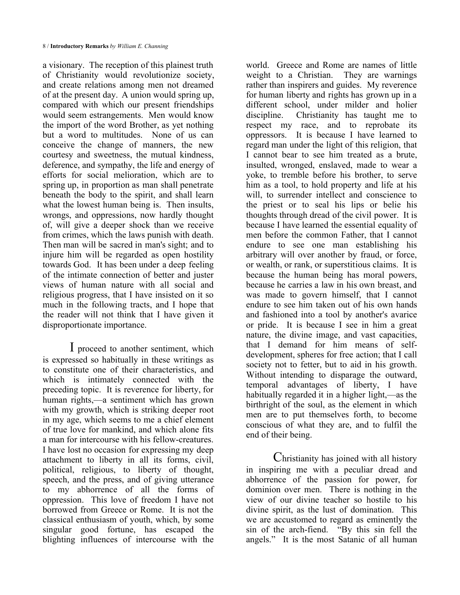a visionary. The reception of this plainest truth of Christianity would revolutionize society, and create relations among men not dreamed of at the present day. A union would spring up, compared with which our present friendships would seem estrangements. Men would know the import of the word Brother, as yet nothing but a word to multitudes. None of us can conceive the change of manners, the new courtesy and sweetness, the mutual kindness, deference, and sympathy, the life and energy of efforts for social melioration, which are to spring up, in proportion as man shall penetrate beneath the body to the spirit, and shall learn what the lowest human being is. Then insults, wrongs, and oppressions, now hardly thought of, will give a deeper shock than we receive from crimes, which the laws punish with death. Then man will be sacred in man's sight; and to injure him will be regarded as open hostility towards God. It has been under a deep feeling of the intimate connection of better and juster views of human nature with all social and religious progress, that I have insisted on it so much in the following tracts, and I hope that the reader will not think that I have given it disproportionate importance.

I proceed to another sentiment, which is expressed so habitually in these writings as to constitute one of their characteristics, and which is intimately connected with the preceding topic. It is reverence for liberty, for human rights,—a sentiment which has grown with my growth, which is striking deeper root in my age, which seems to me a chief element of true love for mankind, and which alone fits a man for intercourse with his fellow-creatures. I have lost no occasion for expressing my deep attachment to liberty in all its forms, civil, political, religious, to liberty of thought, speech, and the press, and of giving utterance to my abhorrence of all the forms of oppression. This love of freedom I have not borrowed from Greece or Rome. It is not the classical enthusiasm of youth, which, by some singular good fortune, has escaped the blighting influences of intercourse with the

world. Greece and Rome are names of little weight to a Christian. They are warnings rather than inspirers and guides. My reverence for human liberty and rights has grown up in a different school, under milder and holier discipline. Christianity has taught me to respect my race, and to reprobate its oppressors. It is because I have learned to regard man under the light of this religion, that I cannot bear to see him treated as a brute, insulted, wronged, enslaved, made to wear a yoke, to tremble before his brother, to serve him as a tool, to hold property and life at his will, to surrender intellect and conscience to the priest or to seal his lips or belie his thoughts through dread of the civil power. It is because I have learned the essential equality of men before the common Father, that I cannot endure to see one man establishing his arbitrary will over another by fraud, or force, or wealth, or rank, or superstitious claims. It is because the human being has moral powers, because he carries a law in his own breast, and was made to govern himself, that I cannot endure to see him taken out of his own hands and fashioned into a tool by another's avarice or pride. It is because I see in him a great nature, the divine image, and vast capacities, that I demand for him means of selfdevelopment, spheres for free action; that I call society not to fetter, but to aid in his growth. Without intending to disparage the outward, temporal advantages of liberty, I have habitually regarded it in a higher light,—as the birthright of the soul, as the element in which men are to put themselves forth, to become conscious of what they are, and to fulfil the end of their being.

Christianity has joined with all history in inspiring me with a peculiar dread and abhorrence of the passion for power, for dominion over men. There is nothing in the view of our divine teacher so hostile to his divine spirit, as the lust of domination. This we are accustomed to regard as eminently the sin of the arch-fiend. "By this sin fell the angels." It is the most Satanic of all human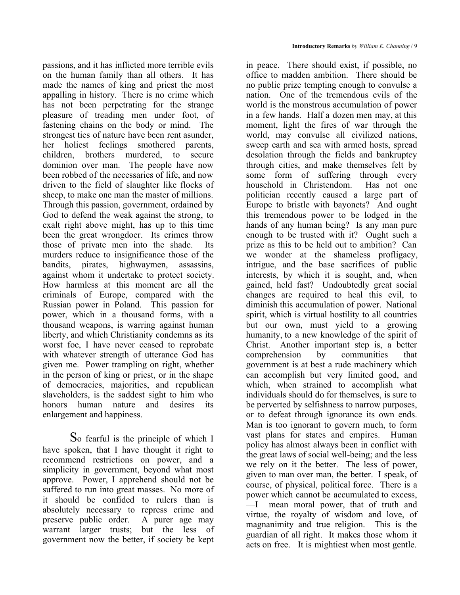passions, and it has inflicted more terrible evils on the human family than all others. It has made the names of king and priest the most appalling in history. There is no crime which has not been perpetrating for the strange pleasure of treading men under foot, of fastening chains on the body or mind. The strongest ties of nature have been rent asunder, her holiest feelings smothered parents, children, brothers murdered, to secure dominion over man. The people have now been robbed of the necessaries of life, and now driven to the field of slaughter like flocks of sheep, to make one man the master of millions. Through this passion, government, ordained by God to defend the weak against the strong, to exalt right above might, has up to this time been the great wrongdoer. Its crimes throw those of private men into the shade. Its murders reduce to insignificance those of the bandits, pirates, highwaymen, assassins, against whom it undertake to protect society. How harmless at this moment are all the criminals of Europe, compared with the Russian power in Poland. This passion for power, which in a thousand forms, with a thousand weapons, is warring against human liberty, and which Christianity condemns as its worst foe, I have never ceased to reprobate with whatever strength of utterance God has given me. Power trampling on right, whether in the person of king or priest, or in the shape of democracies, majorities, and republican slaveholders, is the saddest sight to him who honors human nature and desires its enlargement and happiness.

So fearful is the principle of which I have spoken, that I have thought it right to recommend restrictions on power, and a simplicity in government, beyond what most approve. Power, I apprehend should not be suffered to run into great masses. No more of it should be confided to rulers than is absolutely necessary to repress crime and preserve public order. A purer age may warrant larger trusts; but the less of government now the better, if society be kept

in peace. There should exist, if possible, no office to madden ambition. There should be no public prize tempting enough to convulse a nation. One of the tremendous evils of the world is the monstrous accumulation of power in a few hands. Half a dozen men may, at this moment, light the fires of war through the world, may convulse all civilized nations, sweep earth and sea with armed hosts, spread desolation through the fields and bankruptcy through cities, and make themselves felt by some form of suffering through every household in Christendom. Has not one politician recently caused a large part of Europe to bristle with bayonets? And ought this tremendous power to be lodged in the hands of any human being? Is any man pure enough to be trusted with it? Ought such a prize as this to be held out to ambition? Can we wonder at the shameless profligacy, intrigue, and the base sacrifices of public interests, by which it is sought, and, when gained, held fast? Undoubtedly great social changes are required to heal this evil, to diminish this accumulation of power. National spirit, which is virtual hostility to all countries but our own, must yield to a growing humanity, to a new knowledge of the spirit of Christ. Another important step is, a better comprehension by communities that government is at best a rude machinery which can accomplish but very limited good, and which, when strained to accomplish what individuals should do for themselves, is sure to be perverted by selfishness to narrow purposes, or to defeat through ignorance its own ends. Man is too ignorant to govern much, to form vast plans for states and empires. Human policy has almost always been in conflict with the great laws of social well-being; and the less we rely on it the better. The less of power, given to man over man, the better. I speak, of course, of physical, political force. There is a power which cannot be accumulated to excess, —I mean moral power, that of truth and virtue, the royalty of wisdom and love, of magnanimity and true religion. This is the guardian of all right. It makes those whom it acts on free. It is mightiest when most gentle.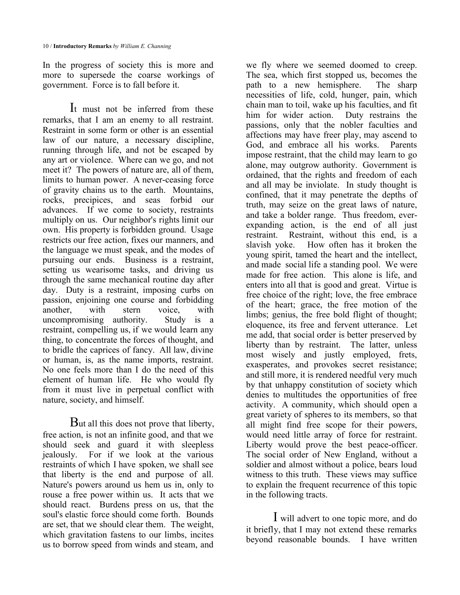In the progress of society this is more and more to supersede the coarse workings of government. Force is to fall before it.

I<sup>t</sup> must not be inferred from these remarks, that I am an enemy to all restraint. Restraint in some form or other is an essential law of our nature, a necessary discipline, running through life, and not be escaped by any art or violence. Where can we go, and not meet it? The powers of nature are, all of them, limits to human power. A never-ceasing force of gravity chains us to the earth. Mountains, rocks, precipices, and seas forbid our advances. If we come to society, restraints multiply on us. Our neighbor's rights limit our own. His property is forbidden ground. Usage restricts our free action, fixes our manners, and the language we must speak, and the modes of pursuing our ends. Business is a restraint, setting us wearisome tasks, and driving us through the same mechanical routine day after day. Duty is a restraint, imposing curbs on passion, enjoining one course and forbidding another, with stern voice, with uncompromising authority. Study is a restraint, compelling us, if we would learn any thing, to concentrate the forces of thought, and to bridle the caprices of fancy. All law, divine or human, is, as the name imports, restraint. No one feels more than I do the need of this element of human life. He who would fly from it must live in perpetual conflict with nature, society, and himself.

But all this does not prove that liberty, free action, is not an infinite good, and that we should seek and guard it with sleepless jealously. For if we look at the various restraints of which I have spoken, we shall see that liberty is the end and purpose of all. Nature's powers around us hem us in, only to rouse a free power within us. It acts that we should react. Burdens press on us, that the soul's elastic force should come forth. Bounds are set, that we should clear them. The weight, which gravitation fastens to our limbs, incites us to borrow speed from winds and steam, and

we fly where we seemed doomed to creep. The sea, which first stopped us, becomes the path to a new hemisphere. The sharp necessities of life, cold, hunger, pain, which chain man to toil, wake up his faculties, and fit him for wider action. Duty restrains the passions, only that the nobler faculties and affections may have freer play, may ascend to God, and embrace all his works. Parents impose restraint, that the child may learn to go alone, may outgrow authority. Government is ordained, that the rights and freedom of each and all may be inviolate. In study thought is confined, that it may penetrate the depths of truth, may seize on the great laws of nature, and take a bolder range. Thus freedom, everexpanding action, is the end of all just restraint. Restraint, without this end, is a slavish yoke. How often has it broken the young spirit, tamed the heart and the intellect, and made social life a standing pool. We were made for free action. This alone is life, and enters into all that is good and great. Virtue is free choice of the right; love, the free embrace of the heart; grace, the free motion of the limbs; genius, the free bold flight of thought; eloquence, its free and fervent utterance. Let me add, that social order is better preserved by liberty than by restraint. The latter, unless most wisely and justly employed, frets, exasperates, and provokes secret resistance; and still more, it is rendered needful very much by that unhappy constitution of society which denies to multitudes the opportunities of free activity. A community, which should open a great variety of spheres to its members, so that all might find free scope for their powers, would need little array of force for restraint. Liberty would prove the best peace-officer. The social order of New England, without a soldier and almost without a police, bears loud witness to this truth. These views may suffice to explain the frequent recurrence of this topic in the following tracts.

I will advert to one topic more, and do it briefly, that I may not extend these remarks beyond reasonable bounds. I have written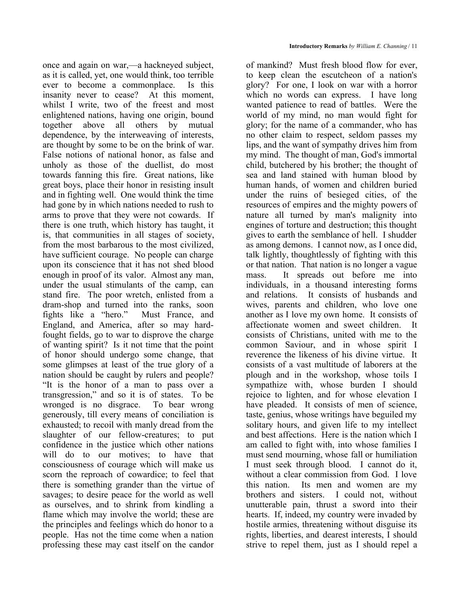once and again on war,—a hackneyed subject, as it is called, yet, one would think, too terrible ever to become a commonplace. Is this insanity never to cease? At this moment, whilst I write, two of the freest and most enlightened nations, having one origin, bound together above all others by mutual dependence, by the interweaving of interests, are thought by some to be on the brink of war. False notions of national honor, as false and unholy as those of the duellist, do most towards fanning this fire. Great nations, like great boys, place their honor in resisting insult and in fighting well. One would think the time had gone by in which nations needed to rush to arms to prove that they were not cowards. If there is one truth, which history has taught, it is, that communities in all stages of society, from the most barbarous to the most civilized, have sufficient courage. No people can charge upon its conscience that it has not shed blood enough in proof of its valor. Almost any man, under the usual stimulants of the camp, can stand fire. The poor wretch, enlisted from a dram-shop and turned into the ranks, soon fights like a "hero." Must France, and England, and America, after so may hardfought fields, go to war to disprove the charge of wanting spirit? Is it not time that the point of honor should undergo some change, that some glimpses at least of the true glory of a nation should be caught by rulers and people? "It is the honor of a man to pass over a transgression," and so it is of states. To be wronged is no disgrace. To bear wrong generously, till every means of conciliation is exhausted; to recoil with manly dread from the slaughter of our fellow-creatures; to put confidence in the justice which other nations will do to our motives; to have that consciousness of courage which will make us scorn the reproach of cowardice; to feel that there is something grander than the virtue of savages; to desire peace for the world as well as ourselves, and to shrink from kindling a flame which may involve the world; these are the principles and feelings which do honor to a people. Has not the time come when a nation professing these may cast itself on the candor

of mankind? Must fresh blood flow for ever, to keep clean the escutcheon of a nation's glory? For one, I look on war with a horror which no words can express. I have long wanted patience to read of battles. Were the world of my mind, no man would fight for glory; for the name of a commander, who has no other claim to respect, seldom passes my lips, and the want of sympathy drives him from my mind. The thought of man, God's immortal child, butchered by his brother; the thought of sea and land stained with human blood by human hands, of women and children buried under the ruins of besieged cities, of the resources of empires and the mighty powers of nature all turned by man's malignity into engines of torture and destruction; this thought gives to earth the semblance of hell. I shudder as among demons. I cannot now, as I once did, talk lightly, thoughtlessly of fighting with this or that nation. That nation is no longer a vague mass. It spreads out before me into individuals, in a thousand interesting forms and relations. It consists of husbands and wives, parents and children, who love one another as I love my own home. It consists of affectionate women and sweet children. It consists of Christians, united with me to the common Saviour, and in whose spirit I reverence the likeness of his divine virtue. It consists of a vast multitude of laborers at the plough and in the workshop, whose toils I sympathize with, whose burden I should rejoice to lighten, and for whose elevation I have pleaded. It consists of men of science, taste, genius, whose writings have beguiled my solitary hours, and given life to my intellect and best affections. Here is the nation which I am called to fight with, into whose families I must send mourning, whose fall or humiliation I must seek through blood. I cannot do it, without a clear commission from God. I love this nation. Its men and women are my brothers and sisters. I could not, without unutterable pain, thrust a sword into their hearts. If, indeed, my country were invaded by hostile armies, threatening without disguise its rights, liberties, and dearest interests, I should strive to repel them, just as I should repel a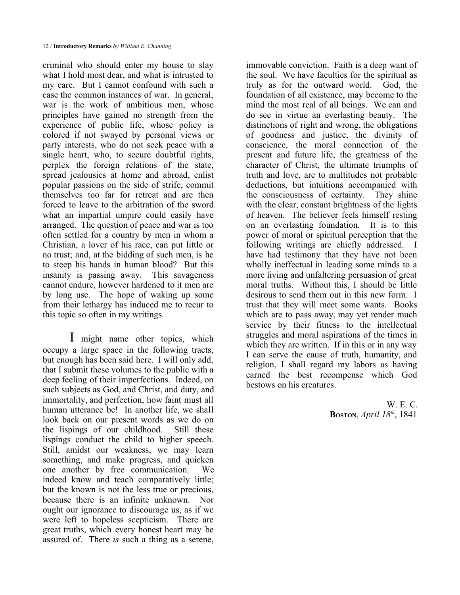criminal who should enter my house to slay what I hold most dear, and what is intrusted to my care. But I cannot confound with such a case the common instances of war. In general, war is the work of ambitious men, whose principles have gained no strength from the experience of public life, whose policy is colored if not swayed by personal views or party interests, who do not seek peace with a single heart, who, to secure doubtful rights, perplex the foreign relations of the state, spread jealousies at home and abroad, enlist popular passions on the side of strife, commit themselves too far for retreat and are then forced to leave to the arbitration of the sword what an impartial umpire could easily have arranged. The question of peace and war is too often settled for a country by men in whom a Christian, a lover of his race, can put little or no trust; and, at the bidding of such men, is he to steep his hands in human blood? But this insanity is passing away. This savageness cannot endure, however hardened to it men are by long use. The hope of waking up some from their lethargy has induced me to recur to this topic so often in my writings.

I might name other topics, which occupy a large space in the following tracts, but enough has been said here. I will only add, that I submit these volumes to the public with a deep feeling of their imperfections. Indeed, on such subjects as God, and Christ, and duty, and immortality, and perfection, how faint must all human utterance be! In another life, we shall look back on our present words as we do on the lispings of our childhood. Still these lispings conduct the child to higher speech. Still, amidst our weakness, we may learn something, and make progress, and quicken one another by free communication. We indeed know and teach comparatively little; but the known is not the less true or precious, because there is an infinite unknown. Nor ought our ignorance to discourage us, as if we were left to hopeless scepticism. There are great truths, which every honest heart may be assured of. There *is* such a thing as a serene,

immovable conviction. Faith is a deep want of the soul. We have faculties for the spiritual as truly as for the outward world. God, the foundation of all existence, may become to the mind the most real of all beings. We can and do see in virtue an everlasting beauty. The distinctions of right and wrong, the obligations of goodness and justice, the divinity of conscience, the moral connection of the present and future life, the greatness of the character of Christ, the ultimate triumphs of truth and love, are to multitudes not probable deductions, but intuitions accompanied with the consciousness of certainty. They shine with the clear, constant brightness of the lights of heaven. The believer feels himself resting on an everlasting foundation. It is to this power of moral or spiritual perception that the following writings are chiefly addressed. I have had testimony that they have not been wholly ineffectual in leading some minds to a more living and unfaltering persuasion of great moral truths. Without this, I should be little desirous to send them out in this new form. I trust that they will meet some wants. Books which are to pass away, may yet render much service by their fitness to the intellectual struggles and moral aspirations of the times in which they are written. If in this or in any way I can serve the cause of truth, humanity, and religion, I shall regard my labors as having earned the best recompense which God bestows on his creatures.

> W. E. C. **BOSTON**, *April 18th*, 1841